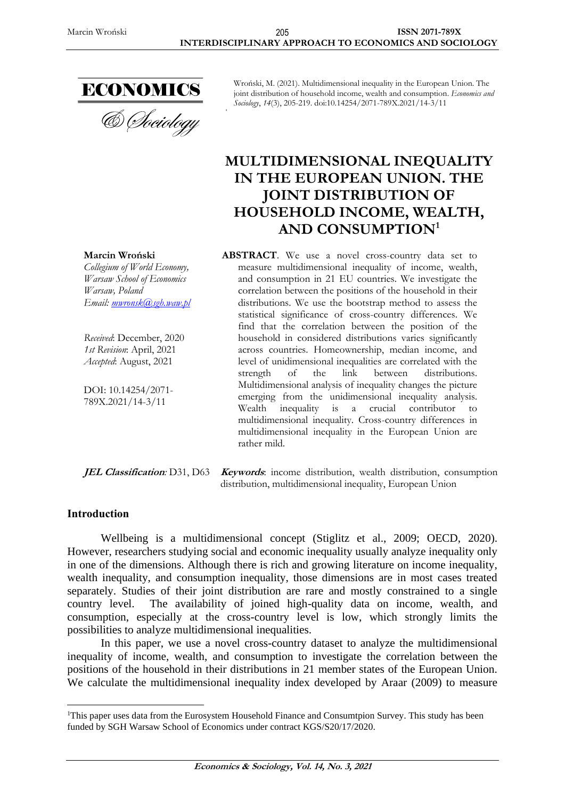

Wroński, M. (2021). Multidimensional inequality in the European Union. The joint distribution of household income, wealth and consumption. *Economics and Sociology*, *14*(3), 205-219. doi:10.14254/2071-789X.2021/14-3/11

# **MULTIDIMENSIONAL INEQUALITY IN THE EUROPEAN UNION. THE JOINT DISTRIBUTION OF HOUSEHOLD INCOME, WEALTH, AND CONSUMPTION<sup>1</sup>**

**ABSTRACT**. We use a novel cross-country data set to measure multidimensional inequality of income, wealth, and consumption in 21 EU countries. We investigate the correlation between the positions of the household in their distributions. We use the bootstrap method to assess the statistical significance of cross-country differences. We find that the correlation between the position of the household in considered distributions varies significantly across countries. Homeownership, median income, and level of unidimensional inequalities are correlated with the strength of the link between distributions. Multidimensional analysis of inequality changes the picture emerging from the unidimensional inequality analysis. Wealth inequality is a crucial contributor to multidimensional inequality. Cross-country differences in multidimensional inequality in the European Union are rather mild.

**JEL Classification***:* D31, D63 **Keywords**: income distribution, wealth distribution, consumption distribution, multidimensional inequality, European Union

### **Introduction**

Wellbeing is a multidimensional concept (Stiglitz et al., 2009; OECD, 2020). However, researchers studying social and economic inequality usually analyze inequality only in one of the dimensions. Although there is rich and growing literature on income inequality, wealth inequality, and consumption inequality, those dimensions are in most cases treated separately. Studies of their joint distribution are rare and mostly constrained to a single country level. The availability of joined high-quality data on income, wealth, and consumption, especially at the cross-country level is low, which strongly limits the possibilities to analyze multidimensional inequalities.

In this paper, we use a novel cross-country dataset to analyze the multidimensional inequality of income, wealth, and consumption to investigate the correlation between the positions of the household in their distributions in 21 member states of the European Union. We calculate the multidimensional inequality index developed by Araar (2009) to measure

# **Marcin Wroński**

*Collegium of World Economy, Warsaw School of Economics Warsaw, Poland Email: [mwronsk@sgh.waw.pl](mailto:mwronsk@sgh.waw.pl)*

*Received*: December, 2020 *1st Revision*: April, 2021 *Accepted*: August, 2021

DOI: 10.14254/2071- 789X.2021/14-3/11

<sup>&</sup>lt;sup>1</sup>This paper uses data from the Eurosystem Household Finance and Consumtpion Survey. This study has been funded by SGH Warsaw School of Economics under contract KGS/S20/17/2020.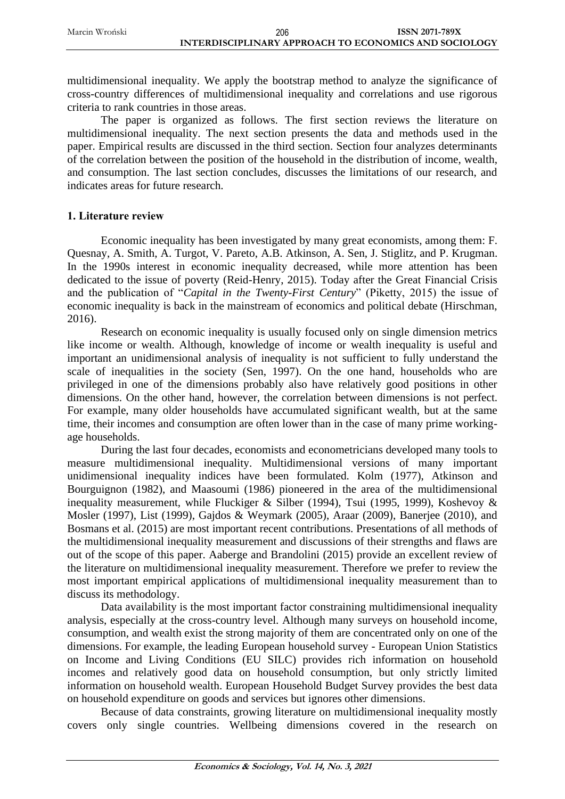multidimensional inequality. We apply the bootstrap method to analyze the significance of cross-country differences of multidimensional inequality and correlations and use rigorous criteria to rank countries in those areas.

The paper is organized as follows. The first section reviews the literature on multidimensional inequality. The next section presents the data and methods used in the paper. Empirical results are discussed in the third section. Section four analyzes determinants of the correlation between the position of the household in the distribution of income, wealth, and consumption. The last section concludes, discusses the limitations of our research, and indicates areas for future research.

## **1. Literature review**

Economic inequality has been investigated by many great economists, among them: F. Quesnay, A. Smith, A. Turgot, V. Pareto, A.B. Atkinson, A. Sen, J. Stiglitz, and P. Krugman. In the 1990s interest in economic inequality decreased, while more attention has been dedicated to the issue of poverty (Reid-Henry, 2015). Today after the Great Financial Crisis and the publication of "*Capital in the Twenty-First Century*" (Piketty, 2015) the issue of economic inequality is back in the mainstream of economics and political debate (Hirschman, 2016).

Research on economic inequality is usually focused only on single dimension metrics like income or wealth. Although, knowledge of income or wealth inequality is useful and important an unidimensional analysis of inequality is not sufficient to fully understand the scale of inequalities in the society (Sen, 1997). On the one hand, households who are privileged in one of the dimensions probably also have relatively good positions in other dimensions. On the other hand, however, the correlation between dimensions is not perfect. For example, many older households have accumulated significant wealth, but at the same time, their incomes and consumption are often lower than in the case of many prime workingage households.

During the last four decades, economists and econometricians developed many tools to measure multidimensional inequality. Multidimensional versions of many important unidimensional inequality indices have been formulated. Kolm (1977), Atkinson and Bourguignon (1982), and Maasoumi (1986) pioneered in the area of the multidimensional inequality measurement, while Fluckiger & Silber (1994), Tsui (1995, 1999), Koshevoy & Mosler (1997), List (1999), Gajdos & Weymark (2005), Araar (2009), Banerjee (2010), and Bosmans et al. (2015) are most important recent contributions. Presentations of all methods of the multidimensional inequality measurement and discussions of their strengths and flaws are out of the scope of this paper. Aaberge and Brandolini (2015) provide an excellent review of the literature on multidimensional inequality measurement. Therefore we prefer to review the most important empirical applications of multidimensional inequality measurement than to discuss its methodology.

Data availability is the most important factor constraining multidimensional inequality analysis, especially at the cross-country level. Although many surveys on household income, consumption, and wealth exist the strong majority of them are concentrated only on one of the dimensions. For example, the leading European household survey - European Union Statistics on Income and Living Conditions (EU SILC) provides rich information on household incomes and relatively good data on household consumption, but only strictly limited information on household wealth. European Household Budget Survey provides the best data on household expenditure on goods and services but ignores other dimensions.

Because of data constraints, growing literature on multidimensional inequality mostly covers only single countries. Wellbeing dimensions covered in the research on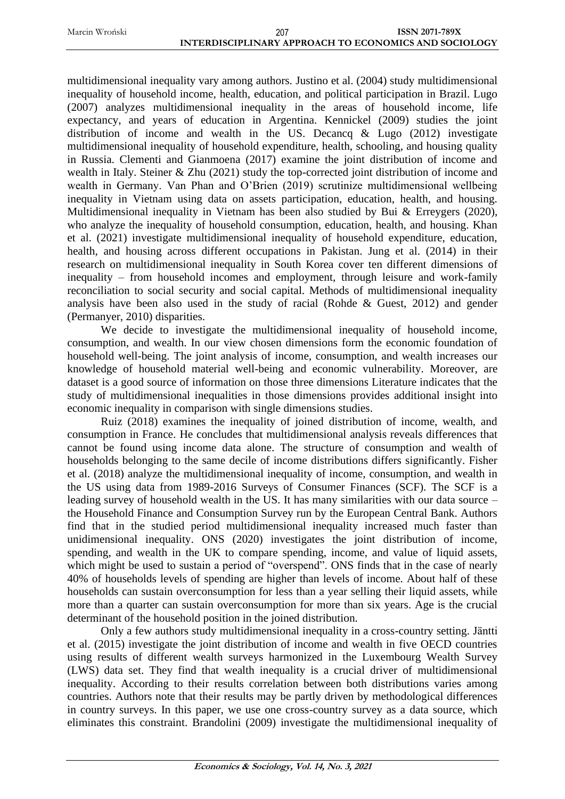multidimensional inequality vary among authors. Justino et al. (2004) study multidimensional inequality of household income, health, education, and political participation in Brazil. Lugo (2007) analyzes multidimensional inequality in the areas of household income, life expectancy, and years of education in Argentina. Kennickel (2009) studies the joint distribution of income and wealth in the US. Decancq & Lugo (2012) investigate multidimensional inequality of household expenditure, health, schooling, and housing quality in Russia. Clementi and Gianmoena (2017) examine the joint distribution of income and wealth in Italy. Steiner & Zhu (2021) study the top-corrected joint distribution of income and wealth in Germany. Van Phan and O'Brien (2019) scrutinize multidimensional wellbeing inequality in Vietnam using data on assets participation, education, health, and housing. Multidimensional inequality in Vietnam has been also studied by Bui & Erreygers (2020), who analyze the inequality of household consumption, education, health, and housing. Khan et al. (2021) investigate multidimensional inequality of household expenditure, education, health, and housing across different occupations in Pakistan. Jung et al. (2014) in their research on multidimensional inequality in South Korea cover ten different dimensions of inequality – from household incomes and employment, through leisure and work-family reconciliation to social security and social capital. Methods of multidimensional inequality analysis have been also used in the study of racial (Rohde & Guest, 2012) and gender (Permanyer, 2010) disparities.

We decide to investigate the multidimensional inequality of household income, consumption, and wealth. In our view chosen dimensions form the economic foundation of household well-being. The joint analysis of income, consumption, and wealth increases our knowledge of household material well-being and economic vulnerability. Moreover, are dataset is a good source of information on those three dimensions Literature indicates that the study of multidimensional inequalities in those dimensions provides additional insight into economic inequality in comparison with single dimensions studies.

Ruiz (2018) examines the inequality of joined distribution of income, wealth, and consumption in France. He concludes that multidimensional analysis reveals differences that cannot be found using income data alone. The structure of consumption and wealth of households belonging to the same decile of income distributions differs significantly. Fisher et al. (2018) analyze the multidimensional inequality of income, consumption, and wealth in the US using data from 1989-2016 Surveys of Consumer Finances (SCF). The SCF is a leading survey of household wealth in the US. It has many similarities with our data source – the Household Finance and Consumption Survey run by the European Central Bank. Authors find that in the studied period multidimensional inequality increased much faster than unidimensional inequality. ONS (2020) investigates the joint distribution of income, spending, and wealth in the UK to compare spending, income, and value of liquid assets, which might be used to sustain a period of "overspend". ONS finds that in the case of nearly 40% of households levels of spending are higher than levels of income. About half of these households can sustain overconsumption for less than a year selling their liquid assets, while more than a quarter can sustain overconsumption for more than six years. Age is the crucial determinant of the household position in the joined distribution.

Only a few authors study multidimensional inequality in a cross-country setting. Jäntti et al. (2015) investigate the joint distribution of income and wealth in five OECD countries using results of different wealth surveys harmonized in the Luxembourg Wealth Survey (LWS) data set. They find that wealth inequality is a crucial driver of multidimensional inequality. According to their results correlation between both distributions varies among countries. Authors note that their results may be partly driven by methodological differences in country surveys. In this paper, we use one cross-country survey as a data source, which eliminates this constraint. Brandolini (2009) investigate the multidimensional inequality of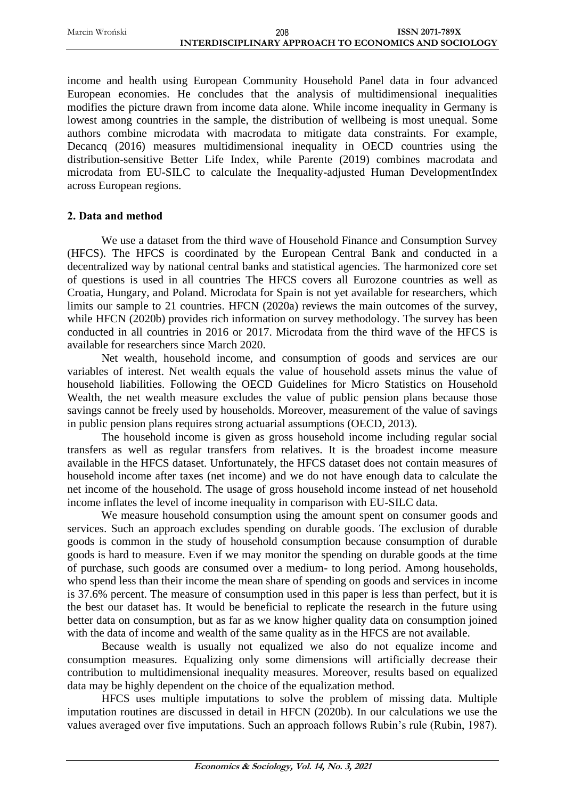| 208                                                          | <b>ISSN 2071-789X</b> |
|--------------------------------------------------------------|-----------------------|
| <b>INTERDISCIPLINARY APPROACH TO ECONOMICS AND SOCIOLOGY</b> |                       |

income and health using European Community Household Panel data in four advanced European economies. He concludes that the analysis of multidimensional inequalities modifies the picture drawn from income data alone. While income inequality in Germany is lowest among countries in the sample, the distribution of wellbeing is most unequal. Some authors combine microdata with macrodata to mitigate data constraints. For example, Decancq (2016) measures multidimensional inequality in OECD countries using the distribution-sensitive Better Life Index, while Parente (2019) combines macrodata and microdata from EU-SILC to calculate the Inequality-adjusted Human DevelopmentIndex across European regions.

# **2. Data and method**

Marcin Wroński

We use a dataset from the third wave of Household Finance and Consumption Survey (HFCS). The HFCS is coordinated by the European Central Bank and conducted in a decentralized way by national central banks and statistical agencies. The harmonized core set of questions is used in all countries The HFCS covers all Eurozone countries as well as Croatia, Hungary, and Poland. Microdata for Spain is not yet available for researchers, which limits our sample to 21 countries. HFCN (2020a) reviews the main outcomes of the survey, while HFCN (2020b) provides rich information on survey methodology. The survey has been conducted in all countries in 2016 or 2017. Microdata from the third wave of the HFCS is available for researchers since March 2020.

Net wealth, household income, and consumption of goods and services are our variables of interest. Net wealth equals the value of household assets minus the value of household liabilities. Following the OECD Guidelines for Micro Statistics on Household Wealth, the net wealth measure excludes the value of public pension plans because those savings cannot be freely used by households. Moreover, measurement of the value of savings in public pension plans requires strong actuarial assumptions (OECD, 2013).

The household income is given as gross household income including regular social transfers as well as regular transfers from relatives. It is the broadest income measure available in the HFCS dataset. Unfortunately, the HFCS dataset does not contain measures of household income after taxes (net income) and we do not have enough data to calculate the net income of the household. The usage of gross household income instead of net household income inflates the level of income inequality in comparison with EU-SILC data.

We measure household consumption using the amount spent on consumer goods and services. Such an approach excludes spending on durable goods. The exclusion of durable goods is common in the study of household consumption because consumption of durable goods is hard to measure. Even if we may monitor the spending on durable goods at the time of purchase, such goods are consumed over a medium- to long period. Among households, who spend less than their income the mean share of spending on goods and services in income is 37.6% percent. The measure of consumption used in this paper is less than perfect, but it is the best our dataset has. It would be beneficial to replicate the research in the future using better data on consumption, but as far as we know higher quality data on consumption joined with the data of income and wealth of the same quality as in the HFCS are not available.

Because wealth is usually not equalized we also do not equalize income and consumption measures. Equalizing only some dimensions will artificially decrease their contribution to multidimensional inequality measures. Moreover, results based on equalized data may be highly dependent on the choice of the equalization method.

HFCS uses multiple imputations to solve the problem of missing data. Multiple imputation routines are discussed in detail in HFCN (2020b). In our calculations we use the values averaged over five imputations. Such an approach follows Rubin's rule (Rubin, 1987).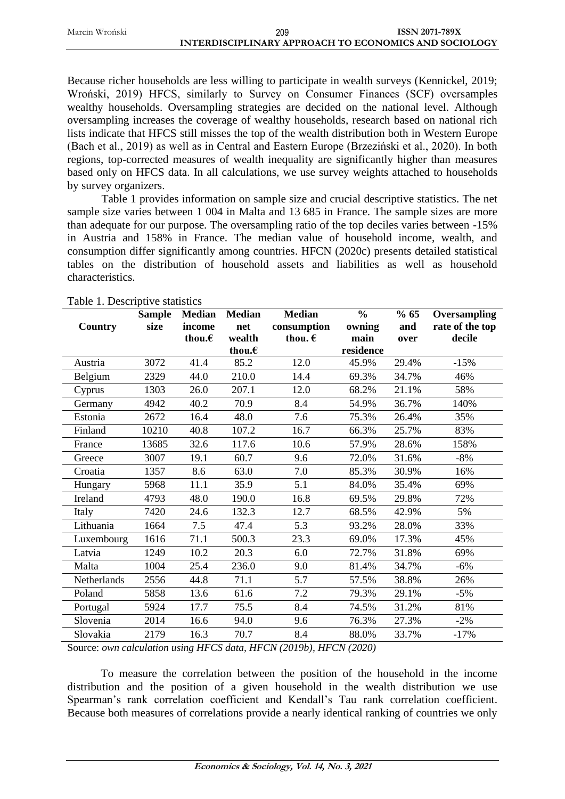| 209                                                   | <b>ISSN 2071-789X</b> |
|-------------------------------------------------------|-----------------------|
| INTERDISCIPLINARY APPROACH TO ECONOMICS AND SOCIOLOGY |                       |

Because richer households are less willing to participate in wealth surveys (Kennickel, 2019; Wroński, 2019) HFCS, similarly to Survey on Consumer Finances (SCF) oversamples wealthy households. Oversampling strategies are decided on the national level. Although oversampling increases the coverage of wealthy households, research based on national rich lists indicate that HFCS still misses the top of the wealth distribution both in Western Europe (Bach et al., 2019) as well as in Central and Eastern Europe (Brzeziński et al., 2020). In both regions, top-corrected measures of wealth inequality are significantly higher than measures based only on HFCS data. In all calculations, we use survey weights attached to households by survey organizers.

Table 1 provides information on sample size and crucial descriptive statistics. The net sample size varies between 1 004 in Malta and 13 685 in France. The sample sizes are more than adequate for our purpose. The oversampling ratio of the top deciles varies between -15% in Austria and 158% in France. The median value of household income, wealth, and consumption differ significantly among countries. HFCN (2020c) presents detailed statistical tables on the distribution of household assets and liabilities as well as household characteristics.

|             | <b>Sample</b> | <b>Median</b>    | <b>Median</b>    | <b>Median</b>    | $\frac{0}{0}$ | % 65  | Oversampling    |
|-------------|---------------|------------------|------------------|------------------|---------------|-------|-----------------|
| Country     | size          | income           | net              | consumption      | owning        | and   | rate of the top |
|             |               | thou. $\epsilon$ | wealth           | thou. $\epsilon$ | main          | over  | decile          |
|             |               |                  | thou. $\epsilon$ |                  | residence     |       |                 |
| Austria     | 3072          | 41.4             | 85.2             | 12.0             | 45.9%         | 29.4% | $-15%$          |
| Belgium     | 2329          | 44.0             | 210.0            | 14.4             | 69.3%         | 34.7% | 46%             |
| Cyprus      | 1303          | 26.0             | 207.1            | 12.0             | 68.2%         | 21.1% | 58%             |
| Germany     | 4942          | 40.2             | 70.9             | 8.4              | 54.9%         | 36.7% | 140%            |
| Estonia     | 2672          | 16.4             | 48.0             | 7.6              | 75.3%         | 26.4% | 35%             |
| Finland     | 10210         | 40.8             | 107.2            | 16.7             | 66.3%         | 25.7% | 83%             |
| France      | 13685         | 32.6             | 117.6            | 10.6             | 57.9%         | 28.6% | 158%            |
| Greece      | 3007          | 19.1             | 60.7             | 9.6              | 72.0%         | 31.6% | $-8%$           |
| Croatia     | 1357          | 8.6              | 63.0             | 7.0              | 85.3%         | 30.9% | 16%             |
| Hungary     | 5968          | 11.1             | 35.9             | 5.1              | 84.0%         | 35.4% | 69%             |
| Ireland     | 4793          | 48.0             | 190.0            | 16.8             | 69.5%         | 29.8% | 72%             |
| Italy       | 7420          | 24.6             | 132.3            | 12.7             | 68.5%         | 42.9% | 5%              |
| Lithuania   | 1664          | 7.5              | 47.4             | 5.3              | 93.2%         | 28.0% | 33%             |
| Luxembourg  | 1616          | 71.1             | 500.3            | 23.3             | 69.0%         | 17.3% | 45%             |
| Latvia      | 1249          | 10.2             | 20.3             | 6.0              | 72.7%         | 31.8% | 69%             |
| Malta       | 1004          | 25.4             | 236.0            | 9.0              | 81.4%         | 34.7% | $-6%$           |
| Netherlands | 2556          | 44.8             | 71.1             | 5.7              | 57.5%         | 38.8% | 26%             |
| Poland      | 5858          | 13.6             | 61.6             | 7.2              | 79.3%         | 29.1% | $-5%$           |
| Portugal    | 5924          | 17.7             | 75.5             | 8.4              | 74.5%         | 31.2% | 81%             |
| Slovenia    | 2014          | 16.6             | 94.0             | 9.6              | 76.3%         | 27.3% | $-2\%$          |
| Slovakia    | 2179          | 16.3             | 70.7             | 8.4              | 88.0%         | 33.7% | $-17%$          |

Table 1. Descriptive statistics

Marcin Wroński

Source: *own calculation using HFCS data, HFCN (2019b), HFCN (2020)*

To measure the correlation between the position of the household in the income distribution and the position of a given household in the wealth distribution we use Spearman's rank correlation coefficient and Kendall's Tau rank correlation coefficient. Because both measures of correlations provide a nearly identical ranking of countries we only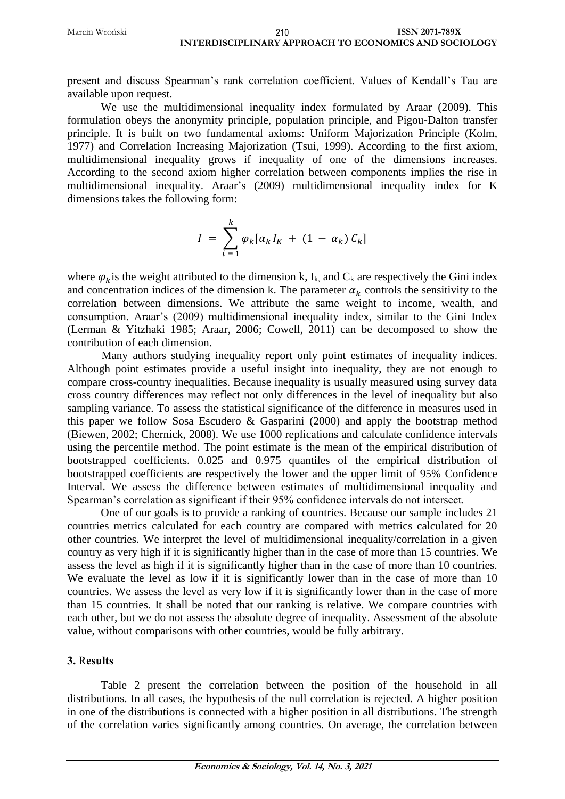present and discuss Spearman's rank correlation coefficient. Values of Kendall's Tau are available upon request.

We use the multidimensional inequality index formulated by Araar (2009). This formulation obeys the anonymity principle, population principle, and Pigou-Dalton transfer principle. It is built on two fundamental axioms: Uniform Majorization Principle (Kolm, 1977) and Correlation Increasing Majorization (Tsui, 1999). According to the first axiom, multidimensional inequality grows if inequality of one of the dimensions increases. According to the second axiom higher correlation between components implies the rise in multidimensional inequality. Araar's (2009) multidimensional inequality index for K dimensions takes the following form:

$$
I = \sum_{i=1}^{k} \varphi_k [\alpha_k I_K + (1 - \alpha_k) C_k]
$$

where  $\varphi_k$  is the weight attributed to the dimension k, I<sub>k,</sub> and C<sub>k</sub> are respectively the Gini index and concentration indices of the dimension k. The parameter  $\alpha_k$  controls the sensitivity to the correlation between dimensions. We attribute the same weight to income, wealth, and consumption. Araar's (2009) multidimensional inequality index, similar to the Gini Index (Lerman & Yitzhaki 1985; Araar, 2006; Cowell, 2011) can be decomposed to show the contribution of each dimension.

Many authors studying inequality report only point estimates of inequality indices. Although point estimates provide a useful insight into inequality, they are not enough to compare cross-country inequalities. Because inequality is usually measured using survey data cross country differences may reflect not only differences in the level of inequality but also sampling variance. To assess the statistical significance of the difference in measures used in this paper we follow Sosa Escudero & Gasparini (2000) and apply the bootstrap method (Biewen, 2002; Chernick, 2008). We use 1000 replications and calculate confidence intervals using the percentile method. The point estimate is the mean of the empirical distribution of bootstrapped coefficients. 0.025 and 0.975 quantiles of the empirical distribution of bootstrapped coefficients are respectively the lower and the upper limit of 95% Confidence Interval. We assess the difference between estimates of multidimensional inequality and Spearman's correlation as significant if their 95% confidence intervals do not intersect.

One of our goals is to provide a ranking of countries. Because our sample includes 21 countries metrics calculated for each country are compared with metrics calculated for 20 other countries. We interpret the level of multidimensional inequality/correlation in a given country as very high if it is significantly higher than in the case of more than 15 countries. We assess the level as high if it is significantly higher than in the case of more than 10 countries. We evaluate the level as low if it is significantly lower than in the case of more than 10 countries. We assess the level as very low if it is significantly lower than in the case of more than 15 countries. It shall be noted that our ranking is relative. We compare countries with each other, but we do not assess the absolute degree of inequality. Assessment of the absolute value, without comparisons with other countries, would be fully arbitrary.

### **3.** R**esults**

Table 2 present the correlation between the position of the household in all distributions. In all cases, the hypothesis of the null correlation is rejected. A higher position in one of the distributions is connected with a higher position in all distributions. The strength of the correlation varies significantly among countries. On average, the correlation between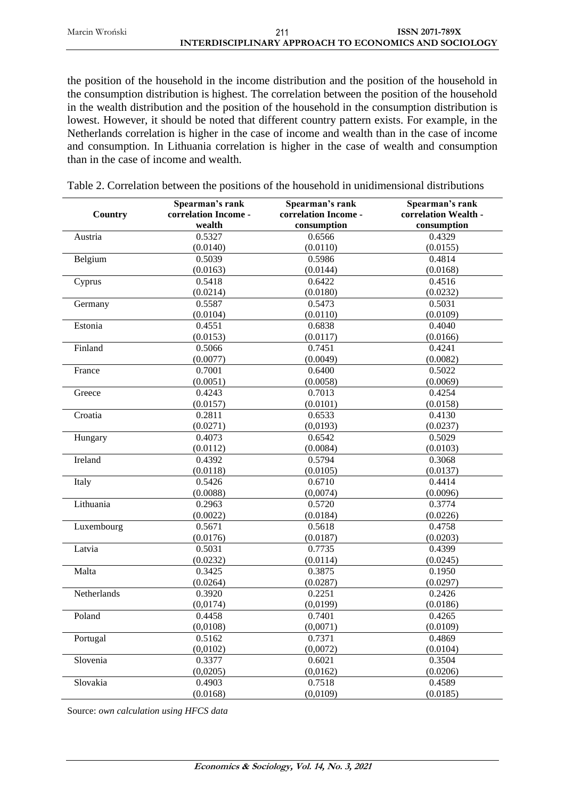Marcin Wroński **ISSN 2071-789X INTERDISCIPLINARY APPROACH TO ECONOMICS AND SOCIOLOGY** 211

the position of the household in the income distribution and the position of the household in the consumption distribution is highest. The correlation between the position of the household in the wealth distribution and the position of the household in the consumption distribution is lowest. However, it should be noted that different country pattern exists. For example, in the

Netherlands correlation is higher in the case of income and wealth than in the case of income and consumption. In Lithuania correlation is higher in the case of wealth and consumption than in the case of income and wealth.

| Country     | Spearman's rank<br>correlation Income -<br>wealth | Spearman's rank<br>correlation Income -<br>consumption | Spearman's rank<br>correlation Wealth -<br>consumption |
|-------------|---------------------------------------------------|--------------------------------------------------------|--------------------------------------------------------|
| Austria     | 0.5327                                            | 0.6566                                                 | 0.4329                                                 |
|             | (0.0140)                                          | (0.0110)                                               | (0.0155)                                               |
| Belgium     | 0.5039                                            | 0.5986                                                 | 0.4814                                                 |
|             | (0.0163)                                          | (0.0144)                                               | (0.0168)                                               |
| Cyprus      | 0.5418                                            | 0.6422                                                 | 0.4516                                                 |
|             | (0.0214)                                          | (0.0180)                                               | (0.0232)                                               |
| Germany     | 0.5587                                            | 0.5473                                                 | 0.5031                                                 |
|             | (0.0104)                                          | (0.0110)                                               | (0.0109)                                               |
| Estonia     | 0.4551                                            | 0.6838                                                 | 0.4040                                                 |
|             | (0.0153)                                          | (0.0117)                                               | (0.0166)                                               |
| Finland     | 0.5066                                            | 0.7451                                                 | 0.4241                                                 |
|             | (0.0077)                                          | (0.0049)                                               | (0.0082)                                               |
| France      | 0.7001                                            | 0.6400                                                 | 0.5022                                                 |
|             | (0.0051)                                          | (0.0058)                                               | (0.0069)                                               |
| Greece      | 0.4243                                            | 0.7013                                                 | 0.4254                                                 |
|             | (0.0157)                                          | (0.0101)                                               | (0.0158)                                               |
| Croatia     | 0.2811                                            | 0.6533                                                 | 0.4130                                                 |
|             | (0.0271)                                          | (0,0193)                                               | (0.0237)                                               |
| Hungary     | 0.4073                                            | 0.6542                                                 | 0.5029                                                 |
|             | (0.0112)                                          | (0.0084)                                               | (0.0103)                                               |
| Ireland     | 0.4392                                            | 0.5794                                                 | 0.3068                                                 |
|             | (0.0118)                                          | (0.0105)                                               | (0.0137)                                               |
| Italy       | 0.5426                                            | 0.6710                                                 | 0.4414                                                 |
|             | (0.0088)                                          | (0,0074)                                               | (0.0096)                                               |
| Lithuania   | 0.2963                                            | 0.5720                                                 | 0.3774                                                 |
|             | (0.0022)                                          | (0.0184)                                               | (0.0226)                                               |
| Luxembourg  | 0.5671                                            | 0.5618                                                 | 0.4758                                                 |
|             | (0.0176)                                          | (0.0187)                                               | (0.0203)                                               |
| Latvia      | 0.5031                                            | 0.7735                                                 | 0.4399                                                 |
|             | (0.0232)                                          | (0.0114)                                               | (0.0245)                                               |
| Malta       | 0.3425                                            | 0.3875                                                 | 0.1950                                                 |
|             | (0.0264)                                          | (0.0287)                                               | (0.0297)                                               |
| Netherlands | 0.3920                                            | 0.2251                                                 | 0.2426                                                 |
|             | (0,0174)                                          | (0,0199)                                               | (0.0186)                                               |
| Poland      | 0.4458                                            | 0.7401                                                 | 0.4265                                                 |
|             | (0,0108)                                          | (0,0071)                                               | (0.0109)                                               |
| Portugal    | 0.5162                                            | 0.7371                                                 | 0.4869                                                 |
|             | (0,0102)                                          | (0,0072)                                               | (0.0104)                                               |
| Slovenia    | 0.3377                                            | 0.6021                                                 | 0.3504                                                 |
|             | (0,0205)                                          | (0,0162)                                               | (0.0206)                                               |
| Slovakia    | 0.4903                                            | 0.7518                                                 | 0.4589                                                 |
|             | (0.0168)                                          | (0,0109)                                               | (0.0185)                                               |

Table 2. Correlation between the positions of the household in unidimensional distributions

Source: *own calculation using HFCS data*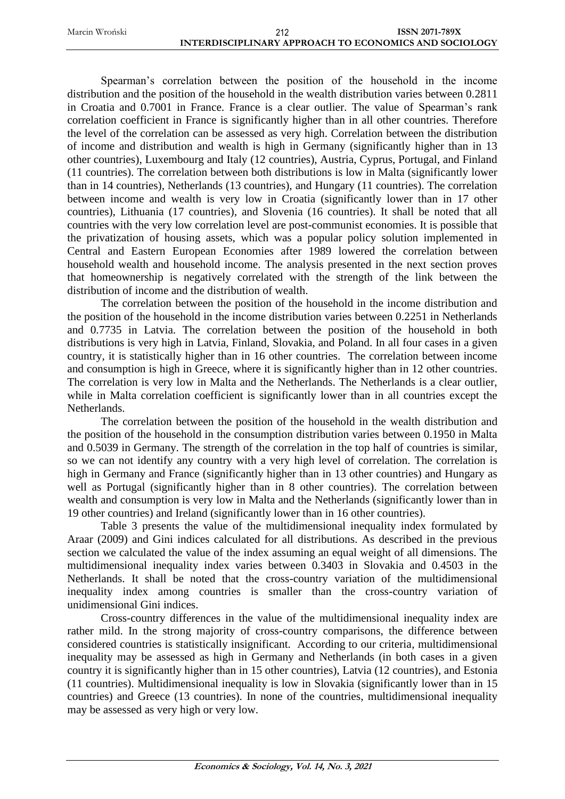Spearman's correlation between the position of the household in the income distribution and the position of the household in the wealth distribution varies between 0.2811 in Croatia and 0.7001 in France. France is a clear outlier. The value of Spearman's rank correlation coefficient in France is significantly higher than in all other countries. Therefore the level of the correlation can be assessed as very high. Correlation between the distribution of income and distribution and wealth is high in Germany (significantly higher than in 13 other countries), Luxembourg and Italy (12 countries), Austria, Cyprus, Portugal, and Finland (11 countries). The correlation between both distributions is low in Malta (significantly lower than in 14 countries), Netherlands (13 countries), and Hungary (11 countries). The correlation between income and wealth is very low in Croatia (significantly lower than in 17 other countries), Lithuania (17 countries), and Slovenia (16 countries). It shall be noted that all countries with the very low correlation level are post-communist economies. It is possible that the privatization of housing assets, which was a popular policy solution implemented in Central and Eastern European Economies after 1989 lowered the correlation between household wealth and household income. The analysis presented in the next section proves that homeownership is negatively correlated with the strength of the link between the distribution of income and the distribution of wealth.

The correlation between the position of the household in the income distribution and the position of the household in the income distribution varies between 0.2251 in Netherlands and 0.7735 in Latvia. The correlation between the position of the household in both distributions is very high in Latvia, Finland, Slovakia, and Poland. In all four cases in a given country, it is statistically higher than in 16 other countries. The correlation between income and consumption is high in Greece, where it is significantly higher than in 12 other countries. The correlation is very low in Malta and the Netherlands. The Netherlands is a clear outlier, while in Malta correlation coefficient is significantly lower than in all countries except the Netherlands.

The correlation between the position of the household in the wealth distribution and the position of the household in the consumption distribution varies between 0.1950 in Malta and 0.5039 in Germany. The strength of the correlation in the top half of countries is similar, so we can not identify any country with a very high level of correlation. The correlation is high in Germany and France (significantly higher than in 13 other countries) and Hungary as well as Portugal (significantly higher than in 8 other countries). The correlation between wealth and consumption is very low in Malta and the Netherlands (significantly lower than in 19 other countries) and Ireland (significantly lower than in 16 other countries).

Table 3 presents the value of the multidimensional inequality index formulated by Araar (2009) and Gini indices calculated for all distributions. As described in the previous section we calculated the value of the index assuming an equal weight of all dimensions. The multidimensional inequality index varies between 0.3403 in Slovakia and 0.4503 in the Netherlands. It shall be noted that the cross-country variation of the multidimensional inequality index among countries is smaller than the cross-country variation of unidimensional Gini indices.

Cross-country differences in the value of the multidimensional inequality index are rather mild. In the strong majority of cross-country comparisons, the difference between considered countries is statistically insignificant. According to our criteria, multidimensional inequality may be assessed as high in Germany and Netherlands (in both cases in a given country it is significantly higher than in 15 other countries), Latvia (12 countries), and Estonia (11 countries). Multidimensional inequality is low in Slovakia (significantly lower than in 15 countries) and Greece (13 countries). In none of the countries, multidimensional inequality may be assessed as very high or very low.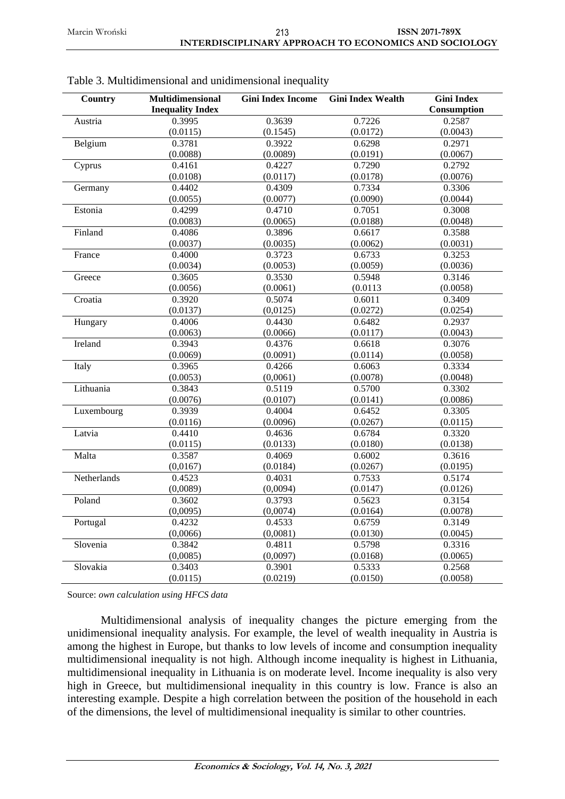| 0.3995<br>0.3639<br>0.7226<br>Austria<br>0.2587<br>(0.0115)<br>(0.1545)<br>(0.0172)<br>(0.0043)<br>Belgium<br>0.3781<br>0.3922<br>0.6298<br>0.2971<br>(0.0088)<br>(0.0089)<br>(0.0191)<br>(0.0067)<br>0.7290<br>0.2792<br>Cyprus<br>0.4161<br>0.4227<br>(0.0076)<br>(0.0108)<br>(0.0117)<br>(0.0178)<br>0.7334<br>Germany<br>0.4402<br>0.4309<br>0.3306<br>(0.0055)<br>(0.0077)<br>(0.0090)<br>(0.0044)<br>Estonia<br>0.4299<br>0.4710<br>0.7051<br>0.3008<br>(0.0083)<br>(0.0065)<br>(0.0048)<br>(0.0188)<br>Finland<br>0.4086<br>0.3896<br>0.6617<br>0.3588<br>(0.0037)<br>(0.0035)<br>(0.0062)<br>(0.0031)<br>France<br>0.4000<br>0.3723<br>0.6733<br>0.3253<br>(0.0034)<br>(0.0053)<br>(0.0059)<br>(0.0036)<br>0.3605<br>0.3530<br>0.3146<br>Greece<br>0.5948<br>(0.0056)<br>(0.0061)<br>(0.0113)<br>(0.0058)<br>Croatia<br>0.3920<br>0.5074<br>0.6011<br>0.3409<br>(0,0125)<br>(0.0272)<br>(0.0254)<br>(0.0137)<br>0.4430<br>0.2937<br>Hungary<br>0.4006<br>0.6482<br>(0.0043)<br>(0.0063)<br>(0.0066)<br>(0.0117)<br>Ireland<br>0.4376<br>0.3076<br>0.3943<br>0.6618<br>(0.0069)<br>(0.0091)<br>(0.0114)<br>(0.0058)<br>Italy<br>0.3965<br>0.4266<br>0.6063<br>0.3334<br>(0.0053)<br>(0,0061)<br>(0.0078)<br>(0.0048)<br>Lithuania<br>0.3843<br>0.5119<br>0.5700<br>0.3302<br>(0.0076)<br>(0.0107)<br>(0.0086)<br>(0.0141)<br>0.3939<br>0.4004<br>0.3305<br>Luxembourg<br>0.6452<br>(0.0116)<br>(0.0096)<br>(0.0267)<br>(0.0115)<br>Latvia<br>0.4410<br>0.4636<br>0.6784<br>0.3320<br>(0.0180)<br>(0.0115)<br>(0.0133)<br>(0.0138)<br>Malta<br>0.3587<br>0.4069<br>0.6002<br>0.3616<br>(0.0267)<br>(0,0167)<br>(0.0184)<br>(0.0195)<br>0.4031<br>0.5174<br>Netherlands<br>0.4523<br>0.7533<br>(0,0089)<br>(0,0094)<br>(0.0147)<br>(0.0126)<br>Poland<br>0.3793<br>0.3154<br>0.3602<br>0.5623<br>(0,0095)<br>(0,0074)<br>(0.0164)<br>(0.0078)<br>Portugal<br>0.4232<br>0.4533<br>0.6759<br>0.3149<br>(0,0066)<br>(0,0081)<br>(0.0130)<br>(0.0045)<br>Slovenia<br>0.5798<br>0.3842<br>0.4811<br>0.3316<br>(0,0085)<br>(0,0097)<br>(0.0168)<br>(0.0065)<br>Slovakia<br>0.3403<br>0.3901<br>0.5333<br>0.2568<br>(0.0115)<br>(0.0219)<br>(0.0150)<br>(0.0058) | Country | Multidimensional<br><b>Inequality Index</b> | <b>Gini Index Income</b> | <b>Gini Index Wealth</b> | <b>Gini Index</b><br>Consumption |
|----------------------------------------------------------------------------------------------------------------------------------------------------------------------------------------------------------------------------------------------------------------------------------------------------------------------------------------------------------------------------------------------------------------------------------------------------------------------------------------------------------------------------------------------------------------------------------------------------------------------------------------------------------------------------------------------------------------------------------------------------------------------------------------------------------------------------------------------------------------------------------------------------------------------------------------------------------------------------------------------------------------------------------------------------------------------------------------------------------------------------------------------------------------------------------------------------------------------------------------------------------------------------------------------------------------------------------------------------------------------------------------------------------------------------------------------------------------------------------------------------------------------------------------------------------------------------------------------------------------------------------------------------------------------------------------------------------------------------------------------------------------------------------------------------------------------------------------------------------------------------------------------------------------------------------------------------------------------------------------------------------------------------------------------------------------------------------------------------------------------------------------------------------------|---------|---------------------------------------------|--------------------------|--------------------------|----------------------------------|
|                                                                                                                                                                                                                                                                                                                                                                                                                                                                                                                                                                                                                                                                                                                                                                                                                                                                                                                                                                                                                                                                                                                                                                                                                                                                                                                                                                                                                                                                                                                                                                                                                                                                                                                                                                                                                                                                                                                                                                                                                                                                                                                                                                |         |                                             |                          |                          |                                  |
|                                                                                                                                                                                                                                                                                                                                                                                                                                                                                                                                                                                                                                                                                                                                                                                                                                                                                                                                                                                                                                                                                                                                                                                                                                                                                                                                                                                                                                                                                                                                                                                                                                                                                                                                                                                                                                                                                                                                                                                                                                                                                                                                                                |         |                                             |                          |                          |                                  |
|                                                                                                                                                                                                                                                                                                                                                                                                                                                                                                                                                                                                                                                                                                                                                                                                                                                                                                                                                                                                                                                                                                                                                                                                                                                                                                                                                                                                                                                                                                                                                                                                                                                                                                                                                                                                                                                                                                                                                                                                                                                                                                                                                                |         |                                             |                          |                          |                                  |
|                                                                                                                                                                                                                                                                                                                                                                                                                                                                                                                                                                                                                                                                                                                                                                                                                                                                                                                                                                                                                                                                                                                                                                                                                                                                                                                                                                                                                                                                                                                                                                                                                                                                                                                                                                                                                                                                                                                                                                                                                                                                                                                                                                |         |                                             |                          |                          |                                  |
|                                                                                                                                                                                                                                                                                                                                                                                                                                                                                                                                                                                                                                                                                                                                                                                                                                                                                                                                                                                                                                                                                                                                                                                                                                                                                                                                                                                                                                                                                                                                                                                                                                                                                                                                                                                                                                                                                                                                                                                                                                                                                                                                                                |         |                                             |                          |                          |                                  |
|                                                                                                                                                                                                                                                                                                                                                                                                                                                                                                                                                                                                                                                                                                                                                                                                                                                                                                                                                                                                                                                                                                                                                                                                                                                                                                                                                                                                                                                                                                                                                                                                                                                                                                                                                                                                                                                                                                                                                                                                                                                                                                                                                                |         |                                             |                          |                          |                                  |
|                                                                                                                                                                                                                                                                                                                                                                                                                                                                                                                                                                                                                                                                                                                                                                                                                                                                                                                                                                                                                                                                                                                                                                                                                                                                                                                                                                                                                                                                                                                                                                                                                                                                                                                                                                                                                                                                                                                                                                                                                                                                                                                                                                |         |                                             |                          |                          |                                  |
|                                                                                                                                                                                                                                                                                                                                                                                                                                                                                                                                                                                                                                                                                                                                                                                                                                                                                                                                                                                                                                                                                                                                                                                                                                                                                                                                                                                                                                                                                                                                                                                                                                                                                                                                                                                                                                                                                                                                                                                                                                                                                                                                                                |         |                                             |                          |                          |                                  |
|                                                                                                                                                                                                                                                                                                                                                                                                                                                                                                                                                                                                                                                                                                                                                                                                                                                                                                                                                                                                                                                                                                                                                                                                                                                                                                                                                                                                                                                                                                                                                                                                                                                                                                                                                                                                                                                                                                                                                                                                                                                                                                                                                                |         |                                             |                          |                          |                                  |
|                                                                                                                                                                                                                                                                                                                                                                                                                                                                                                                                                                                                                                                                                                                                                                                                                                                                                                                                                                                                                                                                                                                                                                                                                                                                                                                                                                                                                                                                                                                                                                                                                                                                                                                                                                                                                                                                                                                                                                                                                                                                                                                                                                |         |                                             |                          |                          |                                  |
|                                                                                                                                                                                                                                                                                                                                                                                                                                                                                                                                                                                                                                                                                                                                                                                                                                                                                                                                                                                                                                                                                                                                                                                                                                                                                                                                                                                                                                                                                                                                                                                                                                                                                                                                                                                                                                                                                                                                                                                                                                                                                                                                                                |         |                                             |                          |                          |                                  |
|                                                                                                                                                                                                                                                                                                                                                                                                                                                                                                                                                                                                                                                                                                                                                                                                                                                                                                                                                                                                                                                                                                                                                                                                                                                                                                                                                                                                                                                                                                                                                                                                                                                                                                                                                                                                                                                                                                                                                                                                                                                                                                                                                                |         |                                             |                          |                          |                                  |
|                                                                                                                                                                                                                                                                                                                                                                                                                                                                                                                                                                                                                                                                                                                                                                                                                                                                                                                                                                                                                                                                                                                                                                                                                                                                                                                                                                                                                                                                                                                                                                                                                                                                                                                                                                                                                                                                                                                                                                                                                                                                                                                                                                |         |                                             |                          |                          |                                  |
|                                                                                                                                                                                                                                                                                                                                                                                                                                                                                                                                                                                                                                                                                                                                                                                                                                                                                                                                                                                                                                                                                                                                                                                                                                                                                                                                                                                                                                                                                                                                                                                                                                                                                                                                                                                                                                                                                                                                                                                                                                                                                                                                                                |         |                                             |                          |                          |                                  |
|                                                                                                                                                                                                                                                                                                                                                                                                                                                                                                                                                                                                                                                                                                                                                                                                                                                                                                                                                                                                                                                                                                                                                                                                                                                                                                                                                                                                                                                                                                                                                                                                                                                                                                                                                                                                                                                                                                                                                                                                                                                                                                                                                                |         |                                             |                          |                          |                                  |
|                                                                                                                                                                                                                                                                                                                                                                                                                                                                                                                                                                                                                                                                                                                                                                                                                                                                                                                                                                                                                                                                                                                                                                                                                                                                                                                                                                                                                                                                                                                                                                                                                                                                                                                                                                                                                                                                                                                                                                                                                                                                                                                                                                |         |                                             |                          |                          |                                  |
|                                                                                                                                                                                                                                                                                                                                                                                                                                                                                                                                                                                                                                                                                                                                                                                                                                                                                                                                                                                                                                                                                                                                                                                                                                                                                                                                                                                                                                                                                                                                                                                                                                                                                                                                                                                                                                                                                                                                                                                                                                                                                                                                                                |         |                                             |                          |                          |                                  |
|                                                                                                                                                                                                                                                                                                                                                                                                                                                                                                                                                                                                                                                                                                                                                                                                                                                                                                                                                                                                                                                                                                                                                                                                                                                                                                                                                                                                                                                                                                                                                                                                                                                                                                                                                                                                                                                                                                                                                                                                                                                                                                                                                                |         |                                             |                          |                          |                                  |
|                                                                                                                                                                                                                                                                                                                                                                                                                                                                                                                                                                                                                                                                                                                                                                                                                                                                                                                                                                                                                                                                                                                                                                                                                                                                                                                                                                                                                                                                                                                                                                                                                                                                                                                                                                                                                                                                                                                                                                                                                                                                                                                                                                |         |                                             |                          |                          |                                  |
|                                                                                                                                                                                                                                                                                                                                                                                                                                                                                                                                                                                                                                                                                                                                                                                                                                                                                                                                                                                                                                                                                                                                                                                                                                                                                                                                                                                                                                                                                                                                                                                                                                                                                                                                                                                                                                                                                                                                                                                                                                                                                                                                                                |         |                                             |                          |                          |                                  |
|                                                                                                                                                                                                                                                                                                                                                                                                                                                                                                                                                                                                                                                                                                                                                                                                                                                                                                                                                                                                                                                                                                                                                                                                                                                                                                                                                                                                                                                                                                                                                                                                                                                                                                                                                                                                                                                                                                                                                                                                                                                                                                                                                                |         |                                             |                          |                          |                                  |
|                                                                                                                                                                                                                                                                                                                                                                                                                                                                                                                                                                                                                                                                                                                                                                                                                                                                                                                                                                                                                                                                                                                                                                                                                                                                                                                                                                                                                                                                                                                                                                                                                                                                                                                                                                                                                                                                                                                                                                                                                                                                                                                                                                |         |                                             |                          |                          |                                  |
|                                                                                                                                                                                                                                                                                                                                                                                                                                                                                                                                                                                                                                                                                                                                                                                                                                                                                                                                                                                                                                                                                                                                                                                                                                                                                                                                                                                                                                                                                                                                                                                                                                                                                                                                                                                                                                                                                                                                                                                                                                                                                                                                                                |         |                                             |                          |                          |                                  |
|                                                                                                                                                                                                                                                                                                                                                                                                                                                                                                                                                                                                                                                                                                                                                                                                                                                                                                                                                                                                                                                                                                                                                                                                                                                                                                                                                                                                                                                                                                                                                                                                                                                                                                                                                                                                                                                                                                                                                                                                                                                                                                                                                                |         |                                             |                          |                          |                                  |
|                                                                                                                                                                                                                                                                                                                                                                                                                                                                                                                                                                                                                                                                                                                                                                                                                                                                                                                                                                                                                                                                                                                                                                                                                                                                                                                                                                                                                                                                                                                                                                                                                                                                                                                                                                                                                                                                                                                                                                                                                                                                                                                                                                |         |                                             |                          |                          |                                  |
|                                                                                                                                                                                                                                                                                                                                                                                                                                                                                                                                                                                                                                                                                                                                                                                                                                                                                                                                                                                                                                                                                                                                                                                                                                                                                                                                                                                                                                                                                                                                                                                                                                                                                                                                                                                                                                                                                                                                                                                                                                                                                                                                                                |         |                                             |                          |                          |                                  |
|                                                                                                                                                                                                                                                                                                                                                                                                                                                                                                                                                                                                                                                                                                                                                                                                                                                                                                                                                                                                                                                                                                                                                                                                                                                                                                                                                                                                                                                                                                                                                                                                                                                                                                                                                                                                                                                                                                                                                                                                                                                                                                                                                                |         |                                             |                          |                          |                                  |
|                                                                                                                                                                                                                                                                                                                                                                                                                                                                                                                                                                                                                                                                                                                                                                                                                                                                                                                                                                                                                                                                                                                                                                                                                                                                                                                                                                                                                                                                                                                                                                                                                                                                                                                                                                                                                                                                                                                                                                                                                                                                                                                                                                |         |                                             |                          |                          |                                  |
|                                                                                                                                                                                                                                                                                                                                                                                                                                                                                                                                                                                                                                                                                                                                                                                                                                                                                                                                                                                                                                                                                                                                                                                                                                                                                                                                                                                                                                                                                                                                                                                                                                                                                                                                                                                                                                                                                                                                                                                                                                                                                                                                                                |         |                                             |                          |                          |                                  |
|                                                                                                                                                                                                                                                                                                                                                                                                                                                                                                                                                                                                                                                                                                                                                                                                                                                                                                                                                                                                                                                                                                                                                                                                                                                                                                                                                                                                                                                                                                                                                                                                                                                                                                                                                                                                                                                                                                                                                                                                                                                                                                                                                                |         |                                             |                          |                          |                                  |
|                                                                                                                                                                                                                                                                                                                                                                                                                                                                                                                                                                                                                                                                                                                                                                                                                                                                                                                                                                                                                                                                                                                                                                                                                                                                                                                                                                                                                                                                                                                                                                                                                                                                                                                                                                                                                                                                                                                                                                                                                                                                                                                                                                |         |                                             |                          |                          |                                  |
|                                                                                                                                                                                                                                                                                                                                                                                                                                                                                                                                                                                                                                                                                                                                                                                                                                                                                                                                                                                                                                                                                                                                                                                                                                                                                                                                                                                                                                                                                                                                                                                                                                                                                                                                                                                                                                                                                                                                                                                                                                                                                                                                                                |         |                                             |                          |                          |                                  |
|                                                                                                                                                                                                                                                                                                                                                                                                                                                                                                                                                                                                                                                                                                                                                                                                                                                                                                                                                                                                                                                                                                                                                                                                                                                                                                                                                                                                                                                                                                                                                                                                                                                                                                                                                                                                                                                                                                                                                                                                                                                                                                                                                                |         |                                             |                          |                          |                                  |
|                                                                                                                                                                                                                                                                                                                                                                                                                                                                                                                                                                                                                                                                                                                                                                                                                                                                                                                                                                                                                                                                                                                                                                                                                                                                                                                                                                                                                                                                                                                                                                                                                                                                                                                                                                                                                                                                                                                                                                                                                                                                                                                                                                |         |                                             |                          |                          |                                  |
|                                                                                                                                                                                                                                                                                                                                                                                                                                                                                                                                                                                                                                                                                                                                                                                                                                                                                                                                                                                                                                                                                                                                                                                                                                                                                                                                                                                                                                                                                                                                                                                                                                                                                                                                                                                                                                                                                                                                                                                                                                                                                                                                                                |         |                                             |                          |                          |                                  |
|                                                                                                                                                                                                                                                                                                                                                                                                                                                                                                                                                                                                                                                                                                                                                                                                                                                                                                                                                                                                                                                                                                                                                                                                                                                                                                                                                                                                                                                                                                                                                                                                                                                                                                                                                                                                                                                                                                                                                                                                                                                                                                                                                                |         |                                             |                          |                          |                                  |
|                                                                                                                                                                                                                                                                                                                                                                                                                                                                                                                                                                                                                                                                                                                                                                                                                                                                                                                                                                                                                                                                                                                                                                                                                                                                                                                                                                                                                                                                                                                                                                                                                                                                                                                                                                                                                                                                                                                                                                                                                                                                                                                                                                |         |                                             |                          |                          |                                  |
|                                                                                                                                                                                                                                                                                                                                                                                                                                                                                                                                                                                                                                                                                                                                                                                                                                                                                                                                                                                                                                                                                                                                                                                                                                                                                                                                                                                                                                                                                                                                                                                                                                                                                                                                                                                                                                                                                                                                                                                                                                                                                                                                                                |         |                                             |                          |                          |                                  |
|                                                                                                                                                                                                                                                                                                                                                                                                                                                                                                                                                                                                                                                                                                                                                                                                                                                                                                                                                                                                                                                                                                                                                                                                                                                                                                                                                                                                                                                                                                                                                                                                                                                                                                                                                                                                                                                                                                                                                                                                                                                                                                                                                                |         |                                             |                          |                          |                                  |
|                                                                                                                                                                                                                                                                                                                                                                                                                                                                                                                                                                                                                                                                                                                                                                                                                                                                                                                                                                                                                                                                                                                                                                                                                                                                                                                                                                                                                                                                                                                                                                                                                                                                                                                                                                                                                                                                                                                                                                                                                                                                                                                                                                |         |                                             |                          |                          |                                  |
|                                                                                                                                                                                                                                                                                                                                                                                                                                                                                                                                                                                                                                                                                                                                                                                                                                                                                                                                                                                                                                                                                                                                                                                                                                                                                                                                                                                                                                                                                                                                                                                                                                                                                                                                                                                                                                                                                                                                                                                                                                                                                                                                                                |         |                                             |                          |                          |                                  |
|                                                                                                                                                                                                                                                                                                                                                                                                                                                                                                                                                                                                                                                                                                                                                                                                                                                                                                                                                                                                                                                                                                                                                                                                                                                                                                                                                                                                                                                                                                                                                                                                                                                                                                                                                                                                                                                                                                                                                                                                                                                                                                                                                                |         |                                             |                          |                          |                                  |

| Table 3. Multidimensional and unidimensional inequality |  |  |  |  |  |
|---------------------------------------------------------|--|--|--|--|--|
|---------------------------------------------------------|--|--|--|--|--|

Source: *own calculation using HFCS data*

Multidimensional analysis of inequality changes the picture emerging from the unidimensional inequality analysis. For example, the level of wealth inequality in Austria is among the highest in Europe, but thanks to low levels of income and consumption inequality multidimensional inequality is not high. Although income inequality is highest in Lithuania, multidimensional inequality in Lithuania is on moderate level. Income inequality is also very high in Greece, but multidimensional inequality in this country is low. France is also an interesting example. Despite a high correlation between the position of the household in each of the dimensions, the level of multidimensional inequality is similar to other countries.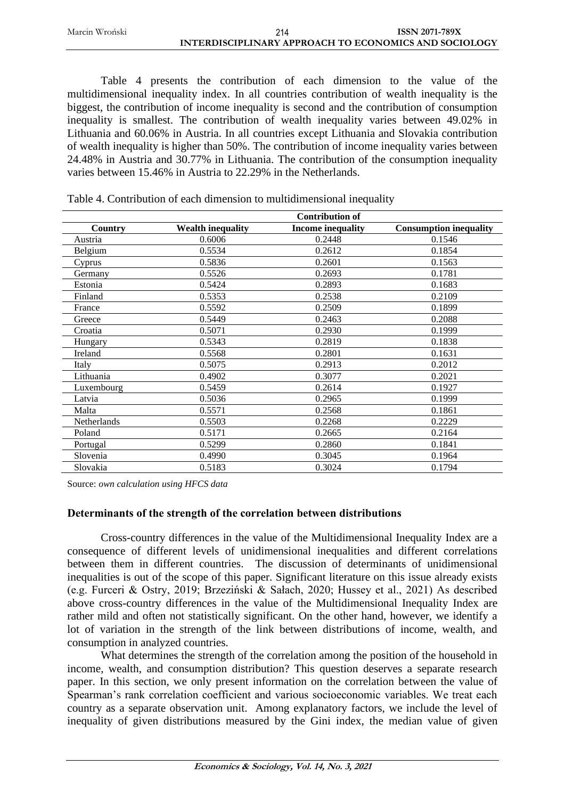Marcin Wroński **ISSN 2071-789X INTERDISCIPLINARY APPROACH TO ECONOMICS AND SOCIOLOGY** 214

Table 4 presents the contribution of each dimension to the value of the multidimensional inequality index. In all countries contribution of wealth inequality is the biggest, the contribution of income inequality is second and the contribution of consumption inequality is smallest. The contribution of wealth inequality varies between 49.02% in Lithuania and 60.06% in Austria. In all countries except Lithuania and Slovakia contribution of wealth inequality is higher than 50%. The contribution of income inequality varies between 24.48% in Austria and 30.77% in Lithuania. The contribution of the consumption inequality varies between 15.46% in Austria to 22.29% in the Netherlands.

|             |                          | <b>Contribution of</b>   |                               |
|-------------|--------------------------|--------------------------|-------------------------------|
| Country     | <b>Wealth inequality</b> | <b>Income inequality</b> | <b>Consumption inequality</b> |
| Austria     | 0.6006                   | 0.2448                   | 0.1546                        |
| Belgium     | 0.5534                   | 0.2612                   | 0.1854                        |
| Cyprus      | 0.5836                   | 0.2601                   | 0.1563                        |
| Germany     | 0.5526                   | 0.2693                   | 0.1781                        |
| Estonia     | 0.5424                   | 0.2893                   | 0.1683                        |
| Finland     | 0.5353                   | 0.2538                   | 0.2109                        |
| France      | 0.5592                   | 0.2509                   | 0.1899                        |
| Greece      | 0.5449                   | 0.2463                   | 0.2088                        |
| Croatia     | 0.5071                   | 0.2930                   | 0.1999                        |
| Hungary     | 0.5343                   | 0.2819                   | 0.1838                        |
| Ireland     | 0.5568                   | 0.2801                   | 0.1631                        |
| Italy       | 0.5075                   | 0.2913                   | 0.2012                        |
| Lithuania   | 0.4902                   | 0.3077                   | 0.2021                        |
| Luxembourg  | 0.5459                   | 0.2614                   | 0.1927                        |
| Latvia      | 0.5036                   | 0.2965                   | 0.1999                        |
| Malta       | 0.5571                   | 0.2568                   | 0.1861                        |
| Netherlands | 0.5503                   | 0.2268                   | 0.2229                        |
| Poland      | 0.5171                   | 0.2665                   | 0.2164                        |
| Portugal    | 0.5299                   | 0.2860                   | 0.1841                        |
| Slovenia    | 0.4990                   | 0.3045                   | 0.1964                        |
| Slovakia    | 0.5183                   | 0.3024                   | 0.1794                        |

Table 4. Contribution of each dimension to multidimensional inequality

Source: *own calculation using HFCS data*

### **Determinants of the strength of the correlation between distributions**

Cross-country differences in the value of the Multidimensional Inequality Index are a consequence of different levels of unidimensional inequalities and different correlations between them in different countries. The discussion of determinants of unidimensional inequalities is out of the scope of this paper. Significant literature on this issue already exists (e.g. Furceri & Ostry, 2019; Brzeziński & Sałach, 2020; Hussey et al., 2021) As described above cross-country differences in the value of the Multidimensional Inequality Index are rather mild and often not statistically significant. On the other hand, however, we identify a lot of variation in the strength of the link between distributions of income, wealth, and consumption in analyzed countries.

What determines the strength of the correlation among the position of the household in income, wealth, and consumption distribution? This question deserves a separate research paper. In this section, we only present information on the correlation between the value of Spearman's rank correlation coefficient and various socioeconomic variables. We treat each country as a separate observation unit. Among explanatory factors, we include the level of inequality of given distributions measured by the Gini index, the median value of given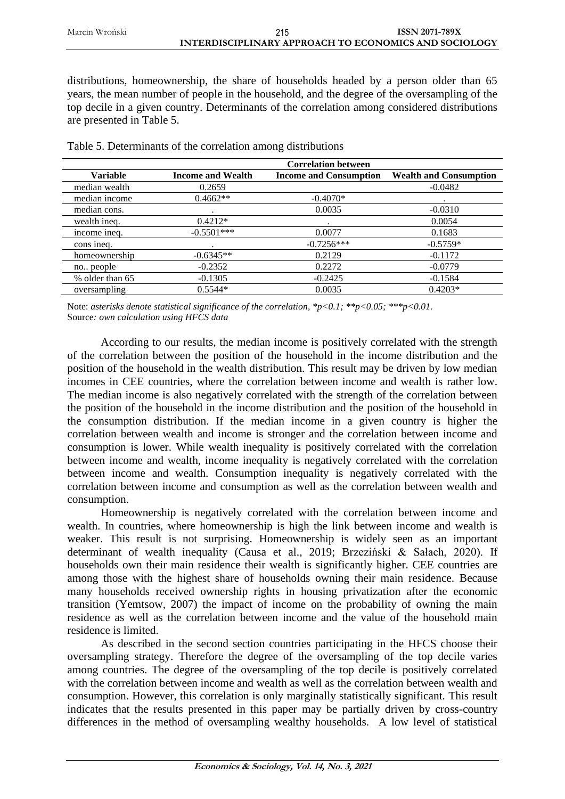Marcin Wroński **ISSN 2071-789X INTERDISCIPLINARY APPROACH TO ECONOMICS AND SOCIOLOGY** 215

distributions, homeownership, the share of households headed by a person older than 65 years, the mean number of people in the household, and the degree of the oversampling of the top decile in a given country. Determinants of the correlation among considered distributions are presented in Table 5.

|                 |                          | <b>Correlation between</b>    |                               |
|-----------------|--------------------------|-------------------------------|-------------------------------|
| <b>Variable</b> | <b>Income and Wealth</b> | <b>Income and Consumption</b> | <b>Wealth and Consumption</b> |
| median wealth   | 0.2659                   |                               | $-0.0482$                     |
| median income   | $0.4662**$               | $-0.4070*$                    |                               |
| median cons.    |                          | 0.0035                        | $-0.0310$                     |
| wealth ineq.    | $0.4212*$                |                               | 0.0054                        |
| income ineq.    | $-0.5501***$             | 0.0077                        | 0.1683                        |
| cons ineq.      |                          | $-0.7256***$                  | $-0.5759*$                    |
| homeownership   | $-0.6345**$              | 0.2129                        | $-0.1172$                     |
| no people       | $-0.2352$                | 0.2272                        | $-0.0779$                     |
| % older than 65 | $-0.1305$                | $-0.2425$                     | $-0.1584$                     |
| oversampling    | $0.5544*$                | 0.0035                        | $0.4203*$                     |

Table 5. Determinants of the correlation among distributions

Note: *asterisks denote statistical significance of the correlation, \*p<0.1; \*\*p<0.05; \*\*\*p<0.01.* Source*: own calculation using HFCS data*

According to our results, the median income is positively correlated with the strength of the correlation between the position of the household in the income distribution and the position of the household in the wealth distribution. This result may be driven by low median incomes in CEE countries, where the correlation between income and wealth is rather low. The median income is also negatively correlated with the strength of the correlation between the position of the household in the income distribution and the position of the household in the consumption distribution. If the median income in a given country is higher the correlation between wealth and income is stronger and the correlation between income and consumption is lower. While wealth inequality is positively correlated with the correlation between income and wealth, income inequality is negatively correlated with the correlation between income and wealth. Consumption inequality is negatively correlated with the correlation between income and consumption as well as the correlation between wealth and consumption.

Homeownership is negatively correlated with the correlation between income and wealth. In countries, where homeownership is high the link between income and wealth is weaker. This result is not surprising. Homeownership is widely seen as an important determinant of wealth inequality (Causa et al., 2019; Brzeziński & Sałach, 2020). If households own their main residence their wealth is significantly higher. CEE countries are among those with the highest share of households owning their main residence. Because many households received ownership rights in housing privatization after the economic transition (Yemtsow, 2007) the impact of income on the probability of owning the main residence as well as the correlation between income and the value of the household main residence is limited.

As described in the second section countries participating in the HFCS choose their oversampling strategy. Therefore the degree of the oversampling of the top decile varies among countries. The degree of the oversampling of the top decile is positively correlated with the correlation between income and wealth as well as the correlation between wealth and consumption. However, this correlation is only marginally statistically significant. This result indicates that the results presented in this paper may be partially driven by cross-country differences in the method of oversampling wealthy households. A low level of statistical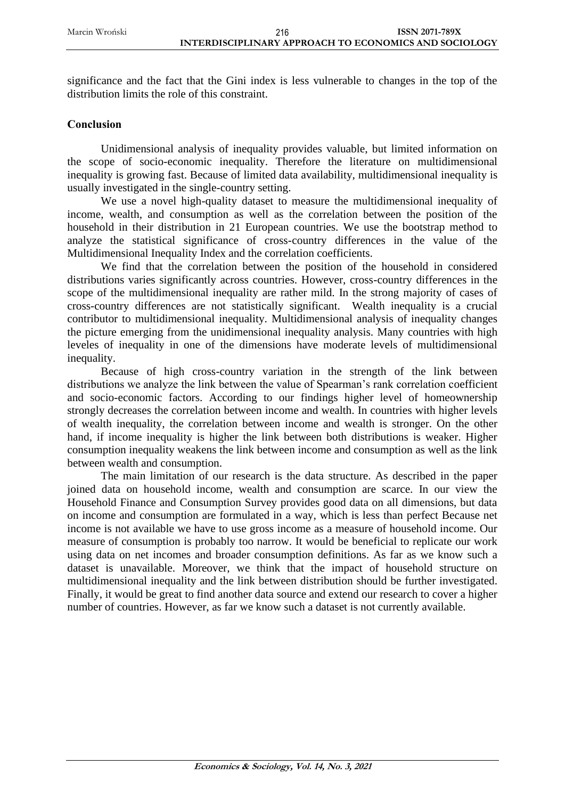significance and the fact that the Gini index is less vulnerable to changes in the top of the distribution limits the role of this constraint.

### **Conclusion**

Unidimensional analysis of inequality provides valuable, but limited information on the scope of socio-economic inequality. Therefore the literature on multidimensional inequality is growing fast. Because of limited data availability, multidimensional inequality is usually investigated in the single-country setting.

We use a novel high-quality dataset to measure the multidimensional inequality of income, wealth, and consumption as well as the correlation between the position of the household in their distribution in 21 European countries. We use the bootstrap method to analyze the statistical significance of cross-country differences in the value of the Multidimensional Inequality Index and the correlation coefficients.

We find that the correlation between the position of the household in considered distributions varies significantly across countries. However, cross-country differences in the scope of the multidimensional inequality are rather mild. In the strong majority of cases of cross-country differences are not statistically significant. Wealth inequality is a crucial contributor to multidimensional inequality. Multidimensional analysis of inequality changes the picture emerging from the unidimensional inequality analysis. Many countries with high leveles of inequality in one of the dimensions have moderate levels of multidimensional inequality.

Because of high cross-country variation in the strength of the link between distributions we analyze the link between the value of Spearman's rank correlation coefficient and socio-economic factors. According to our findings higher level of homeownership strongly decreases the correlation between income and wealth. In countries with higher levels of wealth inequality, the correlation between income and wealth is stronger. On the other hand, if income inequality is higher the link between both distributions is weaker. Higher consumption inequality weakens the link between income and consumption as well as the link between wealth and consumption.

The main limitation of our research is the data structure. As described in the paper joined data on household income, wealth and consumption are scarce. In our view the Household Finance and Consumption Survey provides good data on all dimensions, but data on income and consumption are formulated in a way, which is less than perfect Because net income is not available we have to use gross income as a measure of household income. Our measure of consumption is probably too narrow. It would be beneficial to replicate our work using data on net incomes and broader consumption definitions. As far as we know such a dataset is unavailable. Moreover, we think that the impact of household structure on multidimensional inequality and the link between distribution should be further investigated. Finally, it would be great to find another data source and extend our research to cover a higher number of countries. However, as far we know such a dataset is not currently available.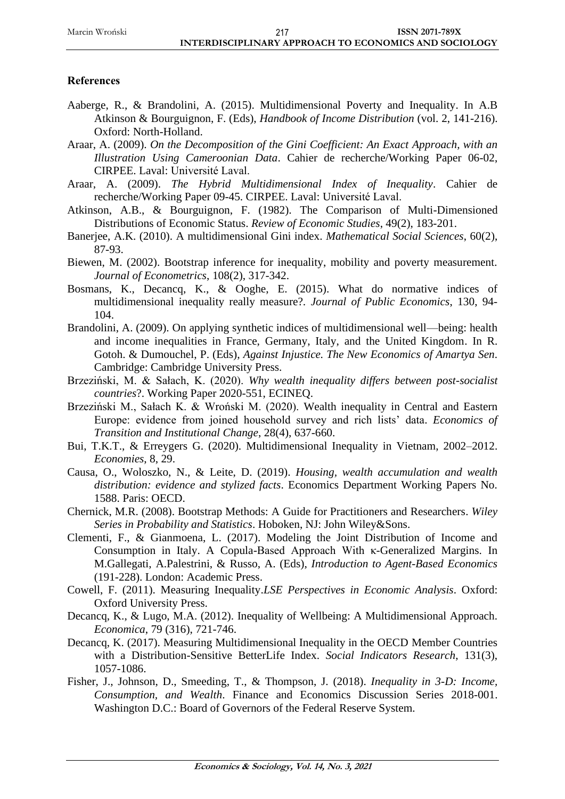## **References**

- Aaberge, R., & Brandolini, A. (2015). Multidimensional Poverty and Inequality. In A.B Atkinson & Bourguignon, F. (Eds), *Handbook of Income Distribution* (vol. 2, 141-216). Oxford: North-Holland.
- Araar, A. (2009). *On the Decomposition of the Gini Coefficient: An Exact Approach, with an Illustration Using Cameroonian Data*. Cahier de recherche/Working Paper 06-02, CIRPEE. Laval: Université Laval.
- Araar, A. (2009). *The Hybrid Multidimensional Index of Inequality*. Cahier de recherche/Working Paper 09-45. CIRPEE. Laval: Université Laval.
- Atkinson, A.B., & Bourguignon, F. (1982). The Comparison of Multi-Dimensioned Distributions of Economic Status. *Review of Economic Studies*, 49(2), 183-201.
- Banerjee, A.K. (2010). A multidimensional Gini index. *Mathematical Social Sciences*, 60(2), 87-93.
- Biewen, M. (2002). Bootstrap inference for inequality, mobility and poverty measurement. *Journal of Econometrics*, 108(2), 317-342.
- Bosmans, K., Decancq, K., & Ooghe, E. (2015). What do normative indices of multidimensional inequality really measure?. *Journal of Public Economics*, 130, 94- 104.
- Brandolini, A. (2009). On applying synthetic indices of multidimensional well—being: health and income inequalities in France, Germany, Italy, and the United Kingdom. In R. Gotoh. & Dumouchel, P. (Eds), *Against Injustice. The New Economics of Amartya Sen*. Cambridge: Cambridge University Press.
- Brzeziński, M. & Sałach, K. (2020). *Why wealth inequality differs between post-socialist countries*?. Working Paper 2020-551, ECINEQ.
- Brzeziński M., Sałach K. & Wroński M. (2020). Wealth inequality in Central and Eastern Europe: evidence from joined household survey and rich lists' data. *Economics of Transition and Institutional Change*, 28(4), 637-660.
- Bui, T.K.T., & Erreygers G. (2020). Multidimensional Inequality in Vietnam, 2002–2012. *Economies*, 8, 29.
- Causa, O., Woloszko, N., & Leite, D. (2019). *Housing, wealth accumulation and wealth distribution: evidence and stylized facts*. Economics Department Working Papers No. 1588. Paris: OECD.
- Chernick, M.R. (2008). Bootstrap Methods: A Guide for Practitioners and Researchers. *Wiley Series in Probability and Statistics*. Hoboken, NJ: John Wiley&Sons.
- Clementi, F., & Gianmoena, L. (2017). Modeling the Joint Distribution of Income and Consumption in Italy. A Copula-Based Approach With κ-Generalized Margins. In M.Gallegati, A.Palestrini, & Russo, A. (Eds), *Introduction to Agent-Based Economics* (191-228). London: Academic Press.
- Cowell, F. (2011). Measuring Inequality.*LSE Perspectives in Economic Analysis*. Oxford: Oxford University Press.
- Decancq, K., & Lugo, M.A. (2012). Inequality of Wellbeing: A Multidimensional Approach. *Economica*, 79 (316), 721-746.
- Decancq, K. (2017). Measuring Multidimensional Inequality in the OECD Member Countries with a Distribution-Sensitive BetterLife Index. *Social Indicators Research*, 131(3), 1057-1086.
- Fisher, J., Johnson, D., Smeeding, T., & Thompson, J. (2018). *Inequality in 3-D: Income, Consumption, and Wealth*. Finance and Economics Discussion Series 2018-001. Washington D.C.: Board of Governors of the Federal Reserve System.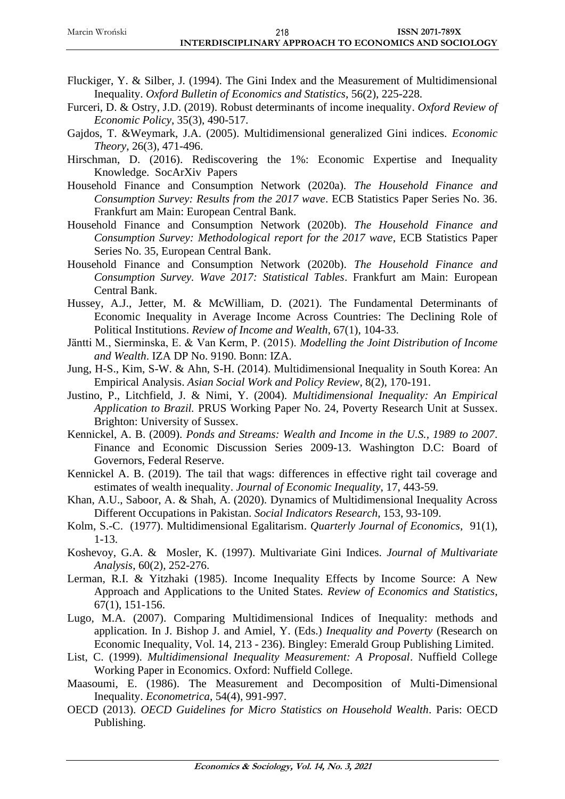- Fluckiger, Y. & Silber, J. (1994). The Gini Index and the Measurement of Multidimensional Inequality. *Oxford Bulletin of Economics and Statistics*, 56(2), 225-228.
- Furceri, D. & Ostry, J.D. (2019). Robust determinants of income inequality. *Oxford Review of Economic Policy*, 35(3), 490-517.
- Gajdos, T. &Weymark, J.A. (2005). Multidimensional generalized Gini indices. *Economic Theory*, 26(3), 471-496.
- Hirschman, D. (2016). Rediscovering the 1%: Economic Expertise and Inequality Knowledge. SocArXiv Papers
- Household Finance and Consumption Network (2020a). *The Household Finance and Consumption Survey: Results from the 2017 wave*. ECB Statistics Paper Series No. 36. Frankfurt am Main: European Central Bank.
- Household Finance and Consumption Network (2020b). *The Household Finance and Consumption Survey: Methodological report for the 2017 wave*, ECB Statistics Paper Series No. 35, European Central Bank.
- Household Finance and Consumption Network (2020b). *The Household Finance and Consumption Survey. Wave 2017: Statistical Tables*. Frankfurt am Main: European Central Bank.
- Hussey, A.J., Jetter, M. & McWilliam, D. (2021). The Fundamental Determinants of Economic Inequality in Average Income Across Countries: The Declining Role of Political Institutions. *Review of Income and Wealth*, 67(1), 104-33.
- Jäntti M., Sierminska, E. & Van Kerm, P. (2015). *Modelling the Joint Distribution of Income and Wealth*. IZA DP No. 9190. Bonn: IZA.
- Jung, H-S., Kim, S-W. & Ahn, S-H. (2014). Multidimensional Inequality in South Korea: An Empirical Analysis. *Asian Social Work and Policy Review*, 8(2), 170-191.
- Justino, P., Litchfield, J. & Nimi, Y. (2004). *Multidimensional Inequality: An Empirical Application to Brazil.* PRUS Working Paper No. 24, Poverty Research Unit at Sussex. Brighton: University of Sussex.
- Kennickel, A. B. (2009). *Ponds and Streams: Wealth and Income in the U.S., 1989 to 2007*. Finance and Economic Discussion Series 2009-13. Washington D.C: Board of Governors, Federal Reserve.
- Kennickel A. B. (2019). The tail that wags: differences in effective right tail coverage and estimates of wealth inequality. *Journal of Economic Inequality*, 17, 443-59.
- Khan, A.U., Saboor, A. & Shah, A. (2020). Dynamics of Multidimensional Inequality Across Different Occupations in Pakistan. *Social Indicators Research*, 153, 93-109.
- Kolm, S.-C. (1977). Multidimensional Egalitarism. *Quarterly Journal of Economics*, 91(1), 1-13.
- Koshevoy, G.A. & Mosler, K. (1997). Multivariate Gini Indices. *Journal of Multivariate Analysis*, 60(2), 252-276.
- Lerman, R.I. & Yitzhaki (1985). Income Inequality Effects by Income Source: A New Approach and Applications to the United States. *Review of Economics and Statistics*, 67(1), 151-156.
- Lugo, M.A. (2007). Comparing Multidimensional Indices of Inequality: methods and application. In J. Bishop J. and Amiel, Y. (Eds.) *Inequality and Poverty* (Research on Economic Inequality, Vol. 14, 213 - 236). Bingley: Emerald Group Publishing Limited.
- List, C. (1999). *Multidimensional Inequality Measurement: A Proposal*. Nuffield College Working Paper in Economics. Oxford: Nuffield College.
- Maasoumi, E. (1986). The Measurement and Decomposition of Multi-Dimensional Inequality. *Econometrica*, 54(4), 991-997.
- OECD (2013). *OECD Guidelines for Micro Statistics on Household Wealth*. Paris: OECD Publishing.